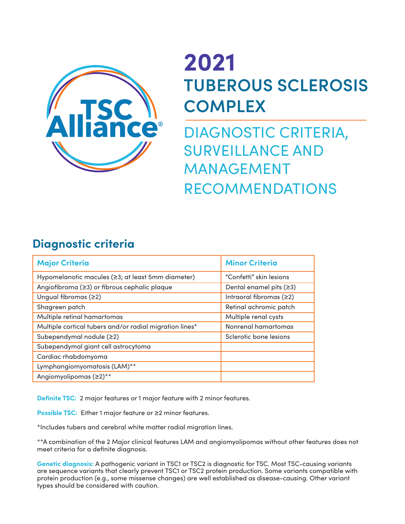

## **2021 TUBEROUS SCLEROSIS COMPLEX**

DIAGNOSTIC CRITERIA, SURVEILLANCE AND MANAGEMENT RECOMMENDATIONS

## **Diagnostic criteria**

| <b>Major Criteria</b>                                   | <b>Minor Criteria</b>     |
|---------------------------------------------------------|---------------------------|
| Hypomelanotic macules (≥3; at least 5mm diameter)       | "Confetti" skin lesions   |
| Angiofibroma (≥3) or fibrous cephalic plaque            | Dental enamel pits $(≥3)$ |
| Ungual fibromas (≥2)                                    | Intraoral fibromas $(≥2)$ |
| Shagreen patch                                          | Retinal achromic patch    |
| Multiple retinal hamartomas                             | Multiple renal cysts      |
| Multiple cortical tubers and/or radial migration lines* | Nonrenal hamartomas       |
| Subependymal nodule (≥2)                                | Sclerotic bone lesions    |
| Subependymal giant cell astrocytoma                     |                           |
| Cardiac rhabdomyoma                                     |                           |
| Lymphangiomyomatosis (LAM)**                            |                           |
| Angiomyolipomas (≥2) <sup>**</sup>                      |                           |

**Definite TSC:** 2 major features or 1 major feature with 2 minor features.

**Possible TSC:** Either 1 major feature or ≥2 minor features.

\*Includes tubers and cerebral white matter radial migration lines.

\*\*A combination of the 2 Major clinical features LAM and angiomyolipomas without other features does not meet criteria for a definite diagnosis.

**Genetic diagnosis:** A pathogenic variant in TSC1 or TSC2 is diagnostic for TSC. Most TSC-causing variants are sequence variants that clearly prevent TSC1 or TSC2 protein production. Some variants compatible with protein production (e.g., some missense changes) are well established as disease-causing. Other variant types should be considered with caution.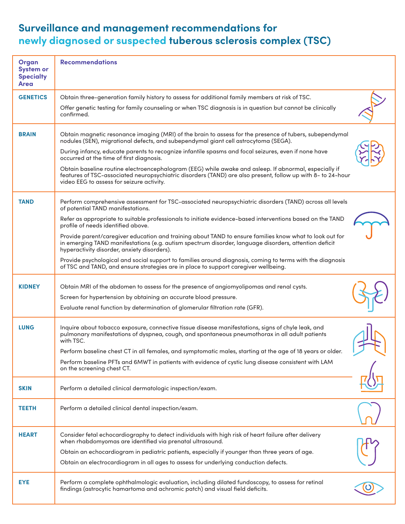## **Surveillance and management recommendations for newly diagnosed or suspected tuberous sclerosis complex (TSC)**

| Organ<br><b>System or</b><br><b>Specialty</b><br>Area | <b>Recommendations</b>                                                                                                                                                                                                                                            |  |
|-------------------------------------------------------|-------------------------------------------------------------------------------------------------------------------------------------------------------------------------------------------------------------------------------------------------------------------|--|
| <b>GENETICS</b>                                       | Obtain three-generation family history to assess for additional family members at risk of TSC.                                                                                                                                                                    |  |
|                                                       | Offer genetic testing for family counseling or when TSC diagnosis is in question but cannot be clinically<br>confirmed.                                                                                                                                           |  |
| <b>BRAIN</b>                                          | Obtain magnetic resonance imaging (MRI) of the brain to assess for the presence of tubers, subependymal<br>nodules (SEN), migrational defects, and subependymal giant cell astrocytoma (SEGA).                                                                    |  |
|                                                       | During infancy, educate parents to recognize infantile spasms and focal seizures, even if none have<br>occurred at the time of first diagnosis.                                                                                                                   |  |
|                                                       | Obtain baseline routine electroencephalogram (EEG) while awake and asleep. If abnormal, especially if<br>features of TSC-associated neuropsychiatric disorders (TAND) are also present, follow up with 8- to 24-hour<br>video EEG to assess for seizure activity. |  |
| <b>TAND</b>                                           | Perform comprehensive assessment for TSC-associated neuropsychiatric disorders (TAND) across all levels<br>of potential TAND manifestations.                                                                                                                      |  |
|                                                       | Refer as appropriate to suitable professionals to initiate evidence-based interventions based on the TAND<br>profile of needs identified above.                                                                                                                   |  |
|                                                       | Provide parent/caregiver education and training about TAND to ensure families know what to look out for<br>in emerging TAND manifestations (e.g. autism spectrum disorder, language disorders, attention deficit<br>hyperactivity disorder, anxiety disorders).   |  |
|                                                       | Provide psychological and social support to families around diagnosis, coming to terms with the diagnosis<br>of TSC and TAND, and ensure strategies are in place to support caregiver wellbeing.                                                                  |  |
| <b>KIDNEY</b>                                         | Obtain MRI of the abdomen to assess for the presence of angiomyolipomas and renal cysts.                                                                                                                                                                          |  |
|                                                       | Screen for hypertension by obtaining an accurate blood pressure.                                                                                                                                                                                                  |  |
|                                                       | Evaluate renal function by determination of glomerular filtration rate (GFR).                                                                                                                                                                                     |  |
| <b>LUNG</b>                                           | Inquire about tobacco exposure, connective tissue disease manifestations, signs of chyle leak, and<br>pulmonary manifestations of dyspnea, cough, and spontaneous pneumothorax in all adult patients<br>with TSC.                                                 |  |
|                                                       | Perform baseline chest CT in all females, and symptomatic males, starting at the age of 18 years or older.                                                                                                                                                        |  |
|                                                       | Perform baseline PFTs and 6MWT in patients with evidence of cystic lung disease consistent with LAM<br>on the screening chest CT.                                                                                                                                 |  |
| <b>SKIN</b>                                           | Perform a detailed clinical dermatologic inspection/exam.                                                                                                                                                                                                         |  |
| <b>TEETH</b>                                          | Perform a detailed clinical dental inspection/exam.                                                                                                                                                                                                               |  |
| <b>HEART</b>                                          | Consider fetal echocardiography to detect individuals with high risk of heart failure after delivery<br>when rhabdomyomas are identified via prenatal ultrasound.                                                                                                 |  |
|                                                       | Obtain an echocardiogram in pediatric patients, especially if younger than three years of age.                                                                                                                                                                    |  |
|                                                       | Obtain an electrocardiogram in all ages to assess for underlying conduction defects.                                                                                                                                                                              |  |
| <b>EYE</b>                                            | Perform a complete ophthalmologic evaluation, including dilated fundoscopy, to assess for retinal<br>findings (astrocytic hamartoma and achromic patch) and visual field deficits.                                                                                |  |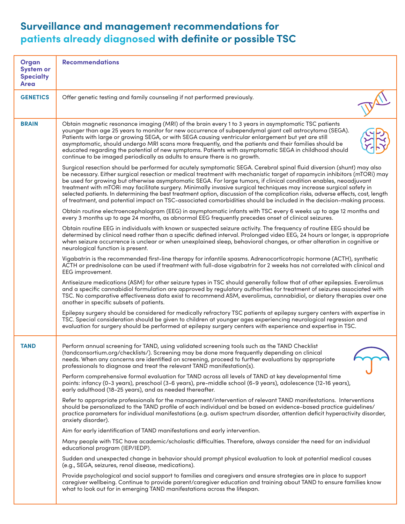## **Surveillance and management recommendations for patients already diagnosed with definite or possible TSC**

| <b>Organ</b><br><b>System or</b><br><b>Specialty</b><br><b>Area</b> | <b>Recommendations</b>                                                                                                                                                                                                                                                                                                                                                                                                                                                                                                                                                                                                                                                                                                                                     |
|---------------------------------------------------------------------|------------------------------------------------------------------------------------------------------------------------------------------------------------------------------------------------------------------------------------------------------------------------------------------------------------------------------------------------------------------------------------------------------------------------------------------------------------------------------------------------------------------------------------------------------------------------------------------------------------------------------------------------------------------------------------------------------------------------------------------------------------|
| <b>GENETICS</b>                                                     | Offer genetic testing and family counseling if not performed previously.                                                                                                                                                                                                                                                                                                                                                                                                                                                                                                                                                                                                                                                                                   |
| <b>BRAIN</b>                                                        | Obtain magnetic resonance imaging (MRI) of the brain every 1 to 3 years in asymptomatic TSC patients<br>younger than age 25 years to monitor for new occurrence of subependymal giant cell astrocytoma (SEGA).<br>Patients with large or growing SEGA, or with SEGA causing ventricular enlargement but yet are still<br>asymptomatic, should undergo MRI scans more frequently, and the patients and their families should be<br>educated regarding the potential of new symptoms. Patients with asymptomatic SEGA in childhood should<br>continue to be imaged periodically as adults to ensure there is no growth.                                                                                                                                      |
|                                                                     | Surgical resection should be performed for acutely symptomatic SEGA. Cerebral spinal fluid diversion (shunt) may also<br>be necessary. Either surgical resection or medical treatment with mechanistic target of rapamycin inhibitors (mTORi) may<br>be used for growing but otherwise asymptomatic SEGA. For large tumors, if clinical condition enables, neoadjuvant<br>treatment with mTORi may facilitate surgery. Minimally invasive surgical techniques may increase surgical safety in<br>selected patients. In determining the best treatment option, discussion of the complication risks, adverse effects, cost, length<br>of treatment, and potential impact on TSC-associated comorbidities should be included in the decision-making process. |
|                                                                     | Obtain routine electroencephalogram (EEG) in asymptomatic infants with TSC every 6 weeks up to age 12 months and<br>every 3 months up to age 24 months, as abnormal EEG frequently precedes onset of clinical seizures.                                                                                                                                                                                                                                                                                                                                                                                                                                                                                                                                    |
|                                                                     | Obtain routine EEG in individuals with known or suspected seizure activity. The frequency of routine EEG should be<br>determined by clinical need rather than a specific defined interval. Prolonged video EEG, 24 hours or longer, is appropriate<br>when seizure occurrence is unclear or when unexplained sleep, behavioral changes, or other alteration in cognitive or<br>neurological function is present.                                                                                                                                                                                                                                                                                                                                           |
|                                                                     | Vigabatrin is the recommended first-line therapy for infantile spasms. Adrenocorticotropic hormone (ACTH), synthetic<br>ACTH or prednisolone can be used if treatment with full-dose vigabatrin for 2 weeks has not correlated with clinical and<br>EEG improvement.                                                                                                                                                                                                                                                                                                                                                                                                                                                                                       |
|                                                                     | Antiseizure medications (ASM) for other seizure types in TSC should generally follow that of other epilepsies. Everolimus<br>and a specific cannabidiol formulation are approved by regulatory authorities for treatment of seizures associated with<br>TSC. No comparative effectiveness data exist to recommend ASM, everolimus, cannabidiol, or dietary therapies over one<br>another in specific subsets of patients.                                                                                                                                                                                                                                                                                                                                  |
|                                                                     | Epilepsy surgery should be considered for medically refractory TSC patients at epilepsy surgery centers with expertise in<br>TSC. Special consideration should be given to children at younger ages experiencing neurological regression and<br>evaluation for surgery should be performed at epilepsy surgery centers with experience and expertise in TSC.                                                                                                                                                                                                                                                                                                                                                                                               |
| <b>TAND</b>                                                         | Perform annual screening for TAND, using validated screening tools such as the TAND Checklist<br>(tandconsortium.org/checklists/). Screening may be done more frequently depending on clinical<br>needs. When any concerns are identified on screening, proceed to further evaluations by appropriate<br>professionals to diagnose and treat the relevant TAND manifestation(s).                                                                                                                                                                                                                                                                                                                                                                           |
|                                                                     | Perform comprehensive formal evaluation for TAND across all levels of TAND at key developmental time<br>points: infancy (0-3 years), preschool (3-6 years), pre-middle school (6-9 years), adolescence (12-16 years),<br>early adulthood (18-25 years), and as needed thereafter.                                                                                                                                                                                                                                                                                                                                                                                                                                                                          |
|                                                                     | Refer to appropriate professionals for the management/intervention of relevant TAND manifestations. Interventions<br>should be personalized to the TAND profile of each individual and be based on evidence-based practice guidelines/<br>practice parameters for individual manifestations (e.g. autism spectrum disorder, attention deficit hyperactivity disorder,<br>anxiety disorder).                                                                                                                                                                                                                                                                                                                                                                |
|                                                                     | Aim for early identification of TAND manifestations and early intervention.                                                                                                                                                                                                                                                                                                                                                                                                                                                                                                                                                                                                                                                                                |
|                                                                     | Many people with TSC have academic/scholastic difficulties. Therefore, always consider the need for an individual<br>educational program (IEP/IEDP).                                                                                                                                                                                                                                                                                                                                                                                                                                                                                                                                                                                                       |
|                                                                     | Sudden and unexpected change in behavior should prompt physical evaluation to look at potential medical causes<br>(e.g., SEGA, seizures, renal disease, medications).                                                                                                                                                                                                                                                                                                                                                                                                                                                                                                                                                                                      |
|                                                                     | Provide psychological and social support to families and caregivers and ensure strategies are in place to support<br>caregiver wellbeing. Continue to provide parent/caregiver education and training about TAND to ensure families know<br>what to look out for in emerging TAND manifestations across the lifespan.                                                                                                                                                                                                                                                                                                                                                                                                                                      |